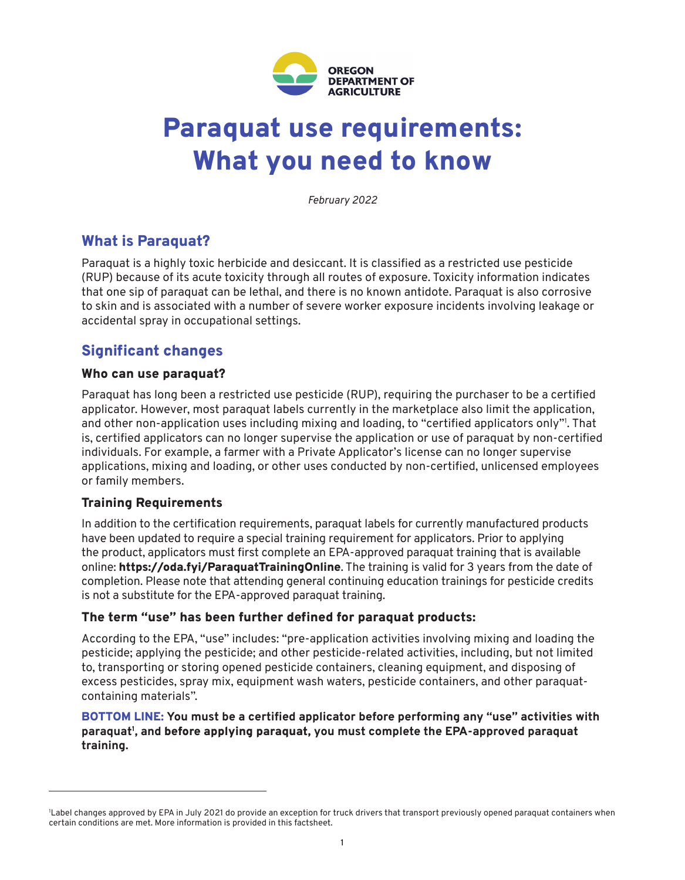

# Paraquat use requirements: What you need to know

*February 2022*

## What is Paraquat?

Paraquat is a highly toxic herbicide and desiccant. It is classified as a restricted use pesticide (RUP) because of its acute toxicity through all routes of exposure. Toxicity information indicates that one sip of paraquat can be lethal, and there is no known antidote. Paraquat is also corrosive to skin and is associated with a number of severe worker exposure incidents involving leakage or accidental spray in occupational settings.

## Significant changes

#### Who can use paraquat?

Paraquat has long been a restricted use pesticide (RUP), requiring the purchaser to be a certified applicator. However, most paraquat labels currently in the marketplace also limit the application, and other non-application uses including mixing and loading, to "certified applicators only"<sup>1</sup> . That is, certified applicators can no longer supervise the application or use of paraquat by non-certified individuals. For example, a farmer with a Private Applicator's license can no longer supervise applications, mixing and loading, or other uses conducted by non-certified, unlicensed employees or family members.

### Training Requirements

In addition to the certification requirements, paraquat labels for currently manufactured products have been updated to require a special training requirement for applicators. Prior to applying the product, applicators must first complete an EPA-approved paraquat training that is available online: https://oda.fyi/ParaquatTrainingOnline. The training is valid for 3 years from the date of completion. Please note that attending general continuing education trainings for pesticide credits is not a substitute for the EPA-approved paraquat training.

#### The term "use" has been further defined for paraquat products:

According to the EPA, "use" includes: "pre-application activities involving mixing and loading the pesticide; applying the pesticide; and other pesticide-related activities, including, but not limited to, transporting or storing opened pesticide containers, cleaning equipment, and disposing of excess pesticides, spray mix, equipment wash waters, pesticide containers, and other paraquatcontaining materials".

#### BOTTOM LINE: **You must be a certified applicator before performing any "use" activities with paraquat<sup>1</sup> , and** before applying paraquat, **you must complete the EPA-approved paraquat training.**

<sup>1</sup> Label changes approved by EPA in July 2021 do provide an exception for truck drivers that transport previously opened paraquat containers when certain conditions are met. More information is provided in this factsheet.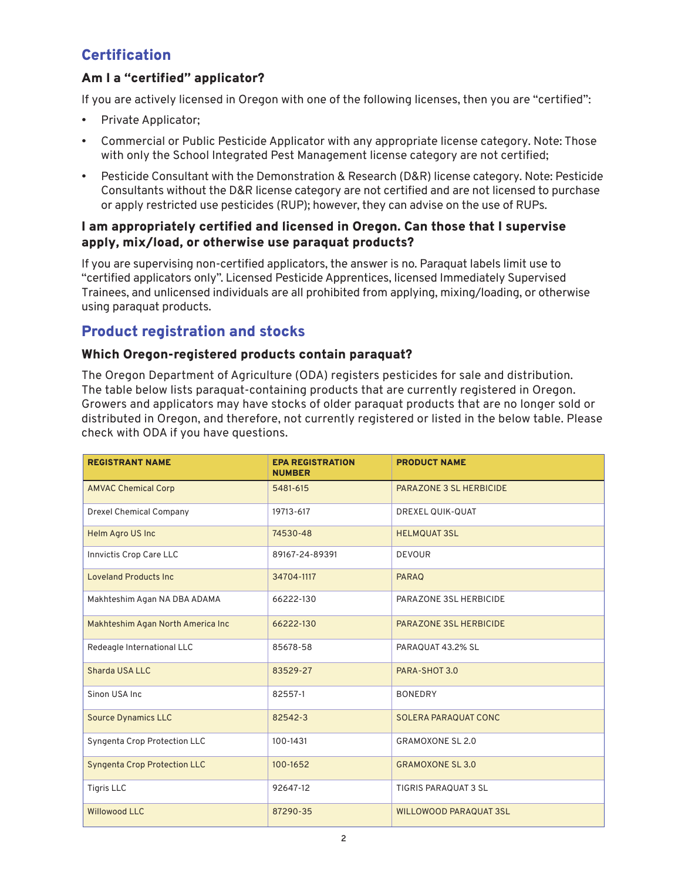## **Certification**

## Am I a "certified" applicator?

If you are actively licensed in Oregon with one of the following licenses, then you are "certified":

- Private Applicator;
- Commercial or Public Pesticide Applicator with any appropriate license category. Note: Those with only the School Integrated Pest Management license category are not certified;
- Pesticide Consultant with the Demonstration & Research (D&R) license category. Note: Pesticide Consultants without the D&R license category are not certified and are not licensed to purchase or apply restricted use pesticides (RUP); however, they can advise on the use of RUPs.

#### I am appropriately certified and licensed in Oregon. Can those that I supervise apply, mix/load, or otherwise use paraquat products?

If you are supervising non-certified applicators, the answer is no. Paraquat labels limit use to "certified applicators only". Licensed Pesticide Apprentices, licensed Immediately Supervised Trainees, and unlicensed individuals are all prohibited from applying, mixing/loading, or otherwise using paraquat products.

## Product registration and stocks

#### Which Oregon-registered products contain paraquat?

The Oregon Department of Agriculture (ODA) registers pesticides for sale and distribution. The table below lists paraquat-containing products that are currently registered in Oregon. Growers and applicators may have stocks of older paraquat products that are no longer sold or distributed in Oregon, and therefore, not currently registered or listed in the below table. Please check with ODA if you have questions.

| <b>REGISTRANT NAME</b>              | <b>EPA REGISTRATION</b><br><b>NUMBER</b> | <b>PRODUCT NAME</b>           |
|-------------------------------------|------------------------------------------|-------------------------------|
| <b>AMVAC Chemical Corp</b>          | 5481-615                                 | PARAZONE 3 SL HERBICIDE       |
| <b>Drexel Chemical Company</b>      | 19713-617                                | <b>DREXEL QUIK-QUAT</b>       |
| Helm Agro US Inc                    | 74530-48                                 | <b>HELMOUAT 3SL</b>           |
| Innvictis Crop Care LLC             | 89167-24-89391                           | <b>DEVOUR</b>                 |
| <b>Loveland Products Inc.</b>       | 34704-1117                               | <b>PARAQ</b>                  |
| Makhteshim Agan NA DBA ADAMA        | 66222-130                                | PARAZONE 3SL HERBICIDE        |
| Makhteshim Agan North America Inc   | 66222-130                                | PARAZONE 3SL HERBICIDE        |
| Redeagle International LLC          | 85678-58                                 | PARAQUAT 43.2% SL             |
| Sharda USA LLC                      | 83529-27                                 | PARA-SHOT 3.0                 |
| Sinon USA Inc                       | 82557-1                                  | <b>BONEDRY</b>                |
| <b>Source Dynamics LLC</b>          | 82542-3                                  | <b>SOLERA PARAQUAT CONC</b>   |
| Syngenta Crop Protection LLC        | 100-1431                                 | <b>GRAMOXONE SL 2.0</b>       |
| <b>Syngenta Crop Protection LLC</b> | 100-1652                                 | <b>GRAMOXONE SL 3.0</b>       |
| <b>Tigris LLC</b>                   | 92647-12                                 | TIGRIS PARAQUAT 3 SL          |
| <b>Willowood LLC</b>                | 87290-35                                 | <b>WILLOWOOD PARAQUAT 3SL</b> |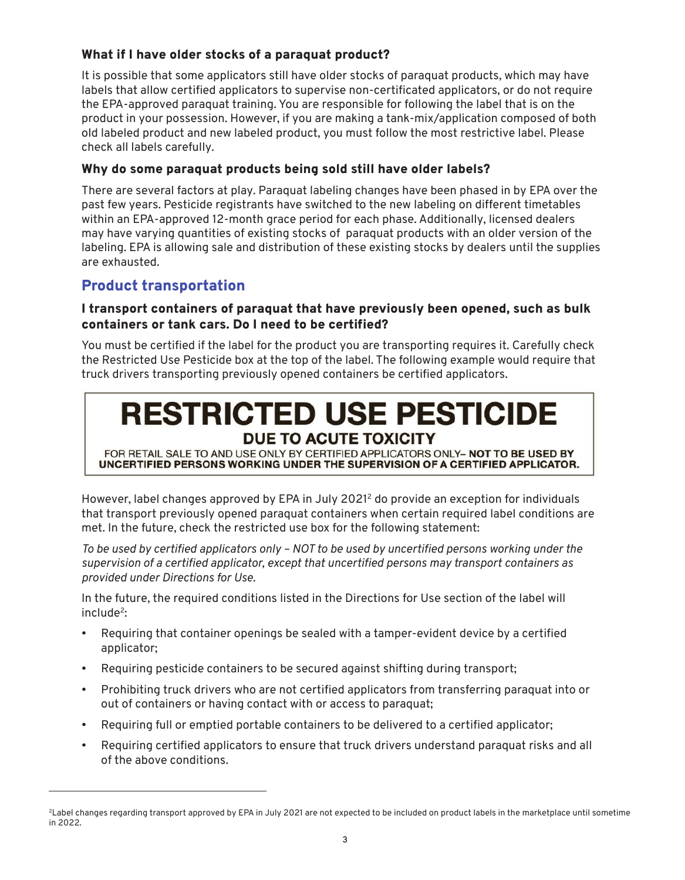## What if I have older stocks of a paraquat product?

It is possible that some applicators still have older stocks of paraquat products, which may have labels that allow certified applicators to supervise non-certificated applicators, or do not require the EPA-approved paraquat training. You are responsible for following the label that is on the product in your possession. However, if you are making a tank-mix/application composed of both old labeled product and new labeled product, you must follow the most restrictive label. Please check all labels carefully.

#### Why do some paraquat products being sold still have older labels?

There are several factors at play. Paraquat labeling changes have been phased in by EPA over the past few years. Pesticide registrants have switched to the new labeling on different timetables within an EPA-approved 12-month grace period for each phase. Additionally, licensed dealers may have varying quantities of existing stocks of paraquat products with an older version of the labeling. EPA is allowing sale and distribution of these existing stocks by dealers until the supplies are exhausted.

## Product transportation

#### I transport containers of paraquat that have previously been opened, such as bulk containers or tank cars. Do I need to be certified?

You must be certified if the label for the product you are transporting requires it. Carefully check the Restricted Use Pesticide box at the top of the label. The following example would require that truck drivers transporting previously opened containers be certified applicators.

## **RESTRICTED USE PESTICIDE DUE TO ACUTE TOXICITY**

FOR RETAIL SALE TO AND USE ONLY BY CERTIFIED APPLICATORS ONLY- NOT TO BE USED BY UNCERTIFIED PERSONS WORKING UNDER THE SUPERVISION OF A CERTIFIED APPLICATOR.

However, label changes approved by EPA in July 2021<sup>2</sup> do provide an exception for individuals that transport previously opened paraquat containers when certain required label conditions are met. In the future, check the restricted use box for the following statement:

*To be used by certified applicators only – NOT to be used by uncertified persons working under the supervision of a certified applicator, except that uncertified persons may transport containers as provided under Directions for Use.*

In the future, the required conditions listed in the Directions for Use section of the label will  $include<sup>2</sup>$ :

- Requiring that container openings be sealed with a tamper-evident device by a certified applicator;
- Requiring pesticide containers to be secured against shifting during transport;
- Prohibiting truck drivers who are not certified applicators from transferring paraquat into or out of containers or having contact with or access to paraquat;
- Requiring full or emptied portable containers to be delivered to a certified applicator;
- Requiring certified applicators to ensure that truck drivers understand paraquat risks and all of the above conditions.

<sup>&</sup>lt;sup>2</sup>Label changes regarding transport approved by EPA in July 2021 are not expected to be included on product labels in the marketplace until sometime in 2022.